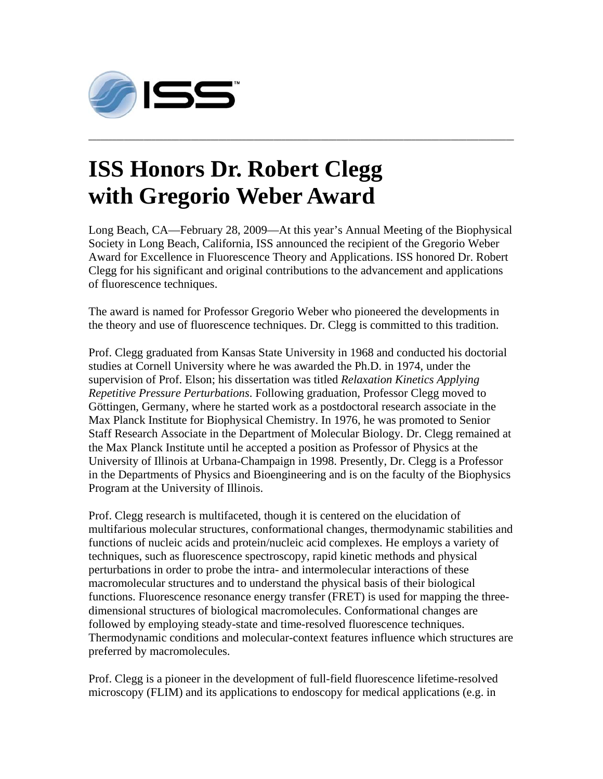

## **ISS Honors Dr. Robert Clegg with Gregorio Weber Award**

Long Beach, CA—February 28, 2009—At this year's Annual Meeting of the Biophysical Society in Long Beach, California, ISS announced the recipient of the Gregorio Weber Award for Excellence in Fluorescence Theory and Applications. ISS honored Dr. Robert Clegg for his significant and original contributions to the advancement and applications of fluorescence techniques.

**\_\_\_\_\_\_\_\_\_\_\_\_\_\_\_\_\_\_\_\_\_\_\_\_\_\_\_\_\_\_\_\_\_\_\_\_\_\_\_\_\_\_\_\_\_\_\_\_\_\_\_\_\_\_\_\_\_\_\_\_\_\_\_\_\_\_\_\_\_\_\_\_\_\_\_\_\_\_\_\_\_\_\_\_\_\_\_\_\_\_\_\_\_\_\_\_\_\_\_\_\_\_\_\_\_\_\_\_** 

The award is named for Professor Gregorio Weber who pioneered the developments in the theory and use of fluorescence techniques. Dr. Clegg is committed to this tradition.

Prof. Clegg graduated from Kansas State University in 1968 and conducted his doctorial studies at Cornell University where he was awarded the Ph.D. in 1974, under the supervision of Prof. Elson; his dissertation was titled *Relaxation Kinetics Applying Repetitive Pressure Perturbations*. Following graduation, Professor Clegg moved to Göttingen, Germany, where he started work as a postdoctoral research associate in the Max Planck Institute for Biophysical Chemistry. In 1976, he was promoted to Senior Staff Research Associate in the Department of Molecular Biology. Dr. Clegg remained at the Max Planck Institute until he accepted a position as Professor of Physics at the University of Illinois at Urbana-Champaign in 1998. Presently, Dr. Clegg is a Professor in the Departments of Physics and Bioengineering and is on the faculty of the Biophysics Program at the University of Illinois.

Prof. Clegg research is multifaceted, though it is centered on the elucidation of multifarious molecular structures, conformational changes, thermodynamic stabilities and functions of nucleic acids and protein/nucleic acid complexes. He employs a variety of techniques, such as fluorescence spectroscopy, rapid kinetic methods and physical perturbations in order to probe the intra- and intermolecular interactions of these macromolecular structures and to understand the physical basis of their biological functions. Fluorescence resonance energy transfer (FRET) is used for mapping the threedimensional structures of biological macromolecules. Conformational changes are followed by employing steady-state and time-resolved fluorescence techniques. Thermodynamic conditions and molecular-context features influence which structures are preferred by macromolecules.

Prof. Clegg is a pioneer in the development of full-field fluorescence lifetime-resolved microscopy (FLIM) and its applications to endoscopy for medical applications (e.g. in